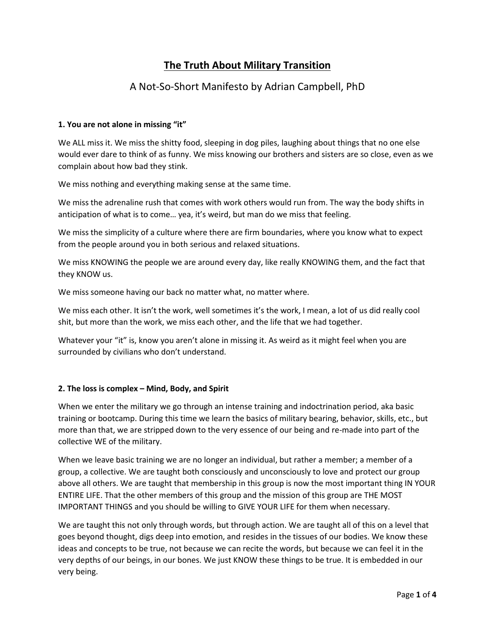# **The Truth About Military Transition**

## A Not-So-Short Manifesto by Adrian Campbell, PhD

#### **1. You are not alone in missing "it"**

We ALL miss it. We miss the shitty food, sleeping in dog piles, laughing about things that no one else would ever dare to think of as funny. We miss knowing our brothers and sisters are so close, even as we complain about how bad they stink.

We miss nothing and everything making sense at the same time.

We miss the adrenaline rush that comes with work others would run from. The way the body shifts in anticipation of what is to come… yea, it's weird, but man do we miss that feeling.

We miss the simplicity of a culture where there are firm boundaries, where you know what to expect from the people around you in both serious and relaxed situations.

We miss KNOWING the people we are around every day, like really KNOWING them, and the fact that they KNOW us.

We miss someone having our back no matter what, no matter where.

We miss each other. It isn't the work, well sometimes it's the work, I mean, a lot of us did really cool shit, but more than the work, we miss each other, and the life that we had together.

Whatever your "it" is, know you aren't alone in missing it. As weird as it might feel when you are surrounded by civilians who don't understand.

#### **2. The loss is complex – Mind, Body, and Spirit**

When we enter the military we go through an intense training and indoctrination period, aka basic training or bootcamp. During this time we learn the basics of military bearing, behavior, skills, etc., but more than that, we are stripped down to the very essence of our being and re-made into part of the collective WE of the military.

When we leave basic training we are no longer an individual, but rather a member; a member of a group, a collective. We are taught both consciously and unconsciously to love and protect our group above all others. We are taught that membership in this group is now the most important thing IN YOUR ENTIRE LIFE. That the other members of this group and the mission of this group are THE MOST IMPORTANT THINGS and you should be willing to GIVE YOUR LIFE for them when necessary.

We are taught this not only through words, but through action. We are taught all of this on a level that goes beyond thought, digs deep into emotion, and resides in the tissues of our bodies. We know these ideas and concepts to be true, not because we can recite the words, but because we can feel it in the very depths of our beings, in our bones. We just KNOW these things to be true. It is embedded in our very being.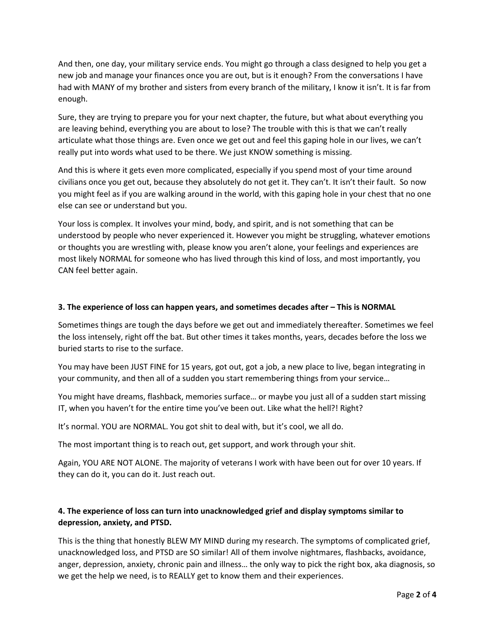And then, one day, your military service ends. You might go through a class designed to help you get a new job and manage your finances once you are out, but is it enough? From the conversations I have had with MANY of my brother and sisters from every branch of the military, I know it isn't. It is far from enough.

Sure, they are trying to prepare you for your next chapter, the future, but what about everything you are leaving behind, everything you are about to lose? The trouble with this is that we can't really articulate what those things are. Even once we get out and feel this gaping hole in our lives, we can't really put into words what used to be there. We just KNOW something is missing.

And this is where it gets even more complicated, especially if you spend most of your time around civilians once you get out, because they absolutely do not get it. They can't. It isn't their fault. So now you might feel as if you are walking around in the world, with this gaping hole in your chest that no one else can see or understand but you.

Your loss is complex. It involves your mind, body, and spirit, and is not something that can be understood by people who never experienced it. However you might be struggling, whatever emotions or thoughts you are wrestling with, please know you aren't alone, your feelings and experiences are most likely NORMAL for someone who has lived through this kind of loss, and most importantly, you CAN feel better again.

#### **3. The experience of loss can happen years, and sometimes decades after – This is NORMAL**

Sometimes things are tough the days before we get out and immediately thereafter. Sometimes we feel the loss intensely, right off the bat. But other times it takes months, years, decades before the loss we buried starts to rise to the surface.

You may have been JUST FINE for 15 years, got out, got a job, a new place to live, began integrating in your community, and then all of a sudden you start remembering things from your service…

You might have dreams, flashback, memories surface… or maybe you just all of a sudden start missing IT, when you haven't for the entire time you've been out. Like what the hell?! Right?

It's normal. YOU are NORMAL. You got shit to deal with, but it's cool, we all do.

The most important thing is to reach out, get support, and work through your shit.

Again, YOU ARE NOT ALONE. The majority of veterans I work with have been out for over 10 years. If they can do it, you can do it. Just reach out.

### **4. The experience of loss can turn into unacknowledged grief and display symptoms similar to depression, anxiety, and PTSD.**

This is the thing that honestly BLEW MY MIND during my research. The symptoms of complicated grief, unacknowledged loss, and PTSD are SO similar! All of them involve nightmares, flashbacks, avoidance, anger, depression, anxiety, chronic pain and illness… the only way to pick the right box, aka diagnosis, so we get the help we need, is to REALLY get to know them and their experiences.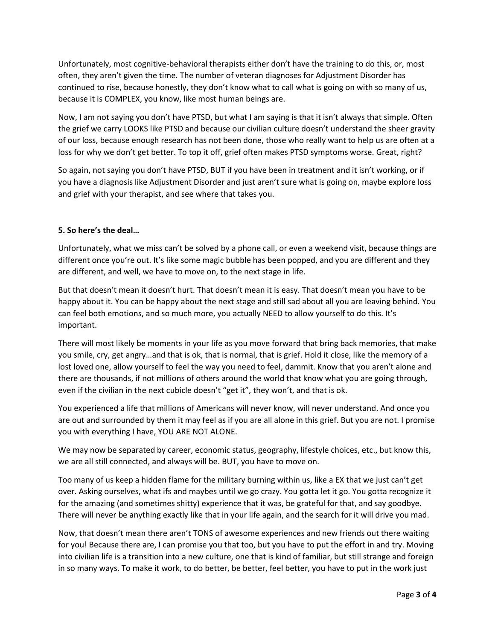Unfortunately, most cognitive-behavioral therapists either don't have the training to do this, or, most often, they aren't given the time. The number of veteran diagnoses for Adjustment Disorder has continued to rise, because honestly, they don't know what to call what is going on with so many of us, because it is COMPLEX, you know, like most human beings are.

Now, I am not saying you don't have PTSD, but what I am saying is that it isn't always that simple. Often the grief we carry LOOKS like PTSD and because our civilian culture doesn't understand the sheer gravity of our loss, because enough research has not been done, those who really want to help us are often at a loss for why we don't get better. To top it off, grief often makes PTSD symptoms worse. Great, right?

So again, not saying you don't have PTSD, BUT if you have been in treatment and it isn't working, or if you have a diagnosis like Adjustment Disorder and just aren't sure what is going on, maybe explore loss and grief with your therapist, and see where that takes you.

#### **5. So here's the deal…**

Unfortunately, what we miss can't be solved by a phone call, or even a weekend visit, because things are different once you're out. It's like some magic bubble has been popped, and you are different and they are different, and well, we have to move on, to the next stage in life.

But that doesn't mean it doesn't hurt. That doesn't mean it is easy. That doesn't mean you have to be happy about it. You can be happy about the next stage and still sad about all you are leaving behind. You can feel both emotions, and so much more, you actually NEED to allow yourself to do this. It's important.

There will most likely be moments in your life as you move forward that bring back memories, that make you smile, cry, get angry…and that is ok, that is normal, that is grief. Hold it close, like the memory of a lost loved one, allow yourself to feel the way you need to feel, dammit. Know that you aren't alone and there are thousands, if not millions of others around the world that know what you are going through, even if the civilian in the next cubicle doesn't "get it", they won't, and that is ok.

You experienced a life that millions of Americans will never know, will never understand. And once you are out and surrounded by them it may feel as if you are all alone in this grief. But you are not. I promise you with everything I have, YOU ARE NOT ALONE.

We may now be separated by career, economic status, geography, lifestyle choices, etc., but know this, we are all still connected, and always will be. BUT, you have to move on.

Too many of us keep a hidden flame for the military burning within us, like a EX that we just can't get over. Asking ourselves, what ifs and maybes until we go crazy. You gotta let it go. You gotta recognize it for the amazing (and sometimes shitty) experience that it was, be grateful for that, and say goodbye. There will never be anything exactly like that in your life again, and the search for it will drive you mad.

Now, that doesn't mean there aren't TONS of awesome experiences and new friends out there waiting for you! Because there are, I can promise you that too, but you have to put the effort in and try. Moving into civilian life is a transition into a new culture, one that is kind of familiar, but still strange and foreign in so many ways. To make it work, to do better, be better, feel better, you have to put in the work just